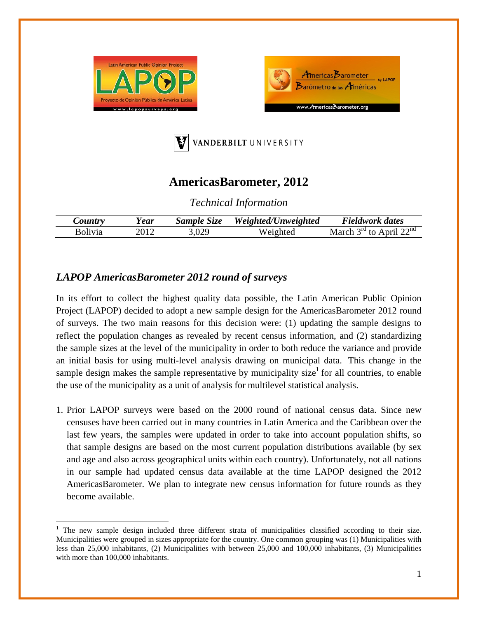





## **AmericasBarometer, 2012**

*Technical Information* 

| $\mathcal{L}$ ountry | ear! | Sample Size | Weighted/Unweighted | Fieldwork dates                                         |
|----------------------|------|-------------|---------------------|---------------------------------------------------------|
| <b>Bolivia</b>       |      | 3,029       | Weighted            | . April $22^{nd}$<br>$2^{\text{rd}}$ to $\sim$<br>March |

## *LAPOP AmericasBarometer 2012 round of surveys*

In its effort to collect the highest quality data possible, the Latin American Public Opinion Project (LAPOP) decided to adopt a new sample design for the AmericasBarometer 2012 round of surveys. The two main reasons for this decision were: (1) updating the sample designs to reflect the population changes as revealed by recent census information, and (2) standardizing the sample sizes at the level of the municipality in order to both reduce the variance and provide an initial basis for using multi-level analysis drawing on municipal data. This change in the sample design makes the sample representative by municipality size<sup>1</sup> for all countries, to enable the use of the municipality as a unit of analysis for multilevel statistical analysis.

1. Prior LAPOP surveys were based on the 2000 round of national census data. Since new censuses have been carried out in many countries in Latin America and the Caribbean over the last few years, the samples were updated in order to take into account population shifts, so that sample designs are based on the most current population distributions available (by sex and age and also across geographical units within each country). Unfortunately, not all nations in our sample had updated census data available at the time LAPOP designed the 2012 AmericasBarometer. We plan to integrate new census information for future rounds as they become available.

<sup>1</sup> The new sample design included three different strata of municipalities classified according to their size. Municipalities were grouped in sizes appropriate for the country. One common grouping was (1) Municipalities with less than 25,000 inhabitants, (2) Municipalities with between 25,000 and 100,000 inhabitants, (3) Municipalities with more than 100,000 inhabitants.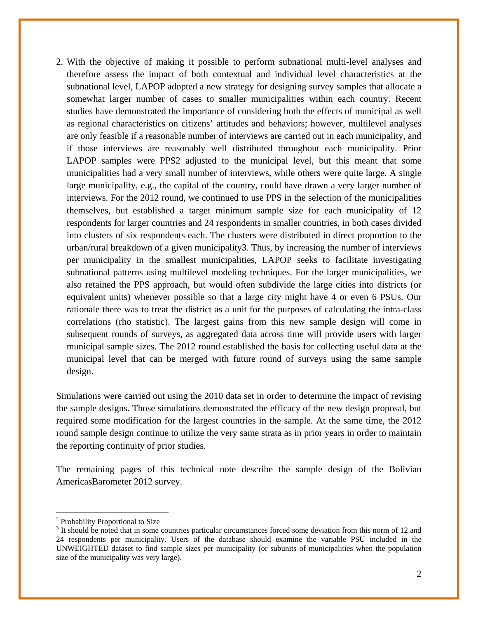2. With the objective of making it possible to perform subnational multi-level analyses and therefore assess the impact of both contextual and individual level characteristics at the subnational level, LAPOP adopted a new strategy for designing survey samples that allocate a somewhat larger number of cases to smaller municipalities within each country. Recent studies have demonstrated the importance of considering both the effects of municipal as well as regional characteristics on citizens' attitudes and behaviors; however, multilevel analyses are only feasible if a reasonable number of interviews are carried out in each municipality, and if those interviews are reasonably well distributed throughout each municipality. Prior LAPOP samples were PPS2 adjusted to the municipal level, but this meant that some municipalities had a very small number of interviews, while others were quite large. A single large municipality, e.g., the capital of the country, could have drawn a very larger number of interviews. For the 2012 round, we continued to use PPS in the selection of the municipalities themselves, but established a target minimum sample size for each municipality of 12 respondents for larger countries and 24 respondents in smaller countries, in both cases divided into clusters of six respondents each. The clusters were distributed in direct proportion to the urban/rural breakdown of a given municipality3. Thus, by increasing the number of interviews per municipality in the smallest municipalities, LAPOP seeks to facilitate investigating subnational patterns using multilevel modeling techniques. For the larger municipalities, we also retained the PPS approach, but would often subdivide the large cities into districts (or equivalent units) whenever possible so that a large city might have 4 or even 6 PSUs. Our rationale there was to treat the district as a unit for the purposes of calculating the intra-class correlations (rho statistic). The largest gains from this new sample design will come in subsequent rounds of surveys, as aggregated data across time will provide users with larger municipal sample sizes. The 2012 round established the basis for collecting useful data at the municipal level that can be merged with future round of surveys using the same sample design.

Simulations were carried out using the 2010 data set in order to determine the impact of revising the sample designs. Those simulations demonstrated the efficacy of the new design proposal, but required some modification for the largest countries in the sample. At the same time, the 2012 round sample design continue to utilize the very same strata as in prior years in order to maintain the reporting continuity of prior studies.

The remaining pages of this technical note describe the sample design of the Bolivian AmericasBarometer 2012 survey.

 <sup>2</sup> Probability Proportional to Size

<sup>&</sup>lt;sup>3</sup> It should be noted that in some countries particular circumstances forced some deviation from this norm of 12 and 24 respondents per municipality. Users of the database should examine the variable PSU included in the UNWEIGHTED dataset to find sample sizes per municipality (or subunits of municipalities when the population size of the municipality was very large).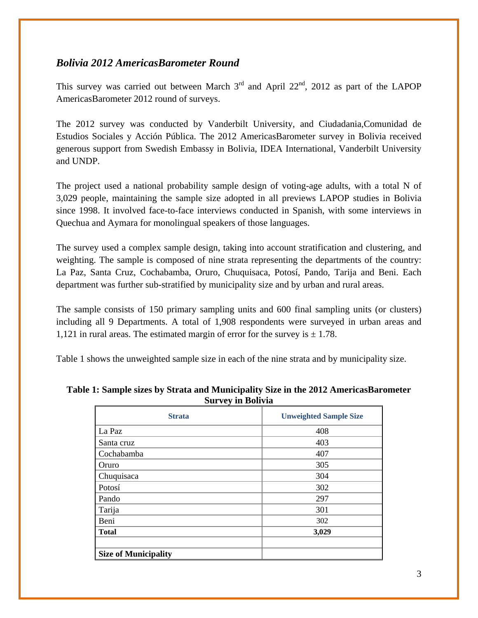## *Bolivia 2012 AmericasBarometer Round*

This survey was carried out between March  $3<sup>rd</sup>$  and April 22<sup>nd</sup>, 2012 as part of the LAPOP AmericasBarometer 2012 round of surveys.

The 2012 survey was conducted by Vanderbilt University, and Ciudadania,Comunidad de Estudios Sociales y Acción Pública. The 2012 AmericasBarometer survey in Bolivia received generous support from Swedish Embassy in Bolivia, IDEA International, Vanderbilt University and UNDP.

The project used a national probability sample design of voting-age adults, with a total N of 3,029 people, maintaining the sample size adopted in all previews LAPOP studies in Bolivia since 1998. It involved face-to-face interviews conducted in Spanish, with some interviews in Quechua and Aymara for monolingual speakers of those languages.

The survey used a complex sample design, taking into account stratification and clustering, and weighting. The sample is composed of nine strata representing the departments of the country: La Paz, Santa Cruz, Cochabamba, Oruro, Chuquisaca, Potosí, Pando, Tarija and Beni. Each department was further sub-stratified by municipality size and by urban and rural areas.

The sample consists of 150 primary sampling units and 600 final sampling units (or clusters) including all 9 Departments. A total of 1,908 respondents were surveyed in urban areas and 1,121 in rural areas. The estimated margin of error for the survey is  $\pm$  1.78.

Table 1 shows the unweighted sample size in each of the nine strata and by municipality size.

| <b>Strata</b>               | <b>Unweighted Sample Size</b> |
|-----------------------------|-------------------------------|
| La Paz                      | 408                           |
| Santa cruz                  | 403                           |
| Cochabamba                  | 407                           |
| Oruro                       | 305                           |
| Chuquisaca                  | 304                           |
| Potosí                      | 302                           |
| Pando                       | 297                           |
| Tarija                      | 301                           |
| Beni                        | 302                           |
| <b>Total</b>                | 3,029                         |
|                             |                               |
| <b>Size of Municipality</b> |                               |

**Table 1: Sample sizes by Strata and Municipality Size in the 2012 AmericasBarometer Survey in Bolivia**